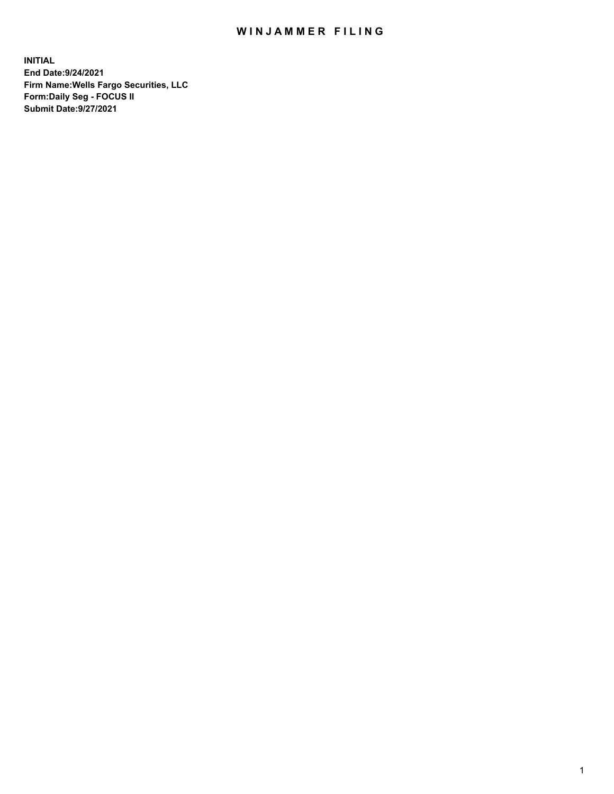## WIN JAMMER FILING

**INITIAL End Date:9/24/2021 Firm Name:Wells Fargo Securities, LLC Form:Daily Seg - FOCUS II Submit Date:9/27/2021**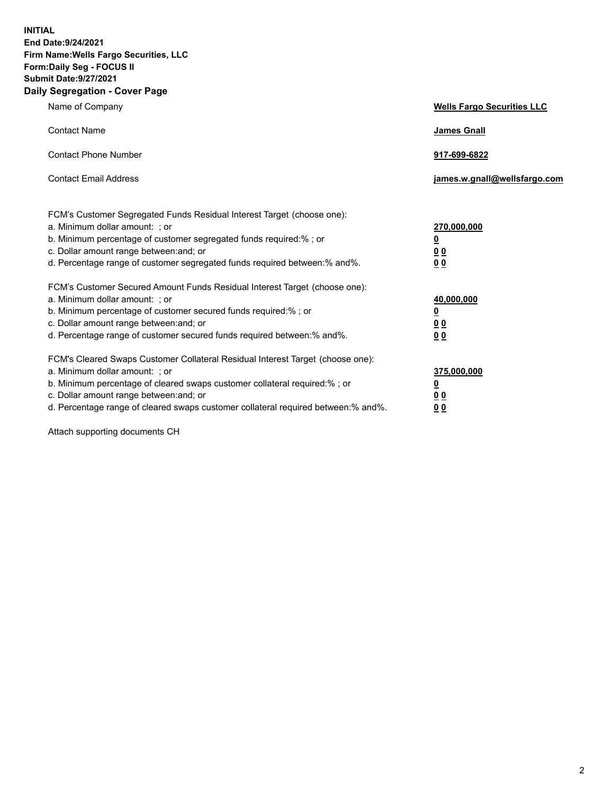**INITIAL End Date:9/24/2021 Firm Name:Wells Fargo Securities, LLC Form:Daily Seg - FOCUS II Submit Date:9/27/2021 Daily Segregation - Cover Page**

| Name of Company                                                                                                                                                                                                                                                                                                                | <b>Wells Fargo Securities LLC</b>                                         |
|--------------------------------------------------------------------------------------------------------------------------------------------------------------------------------------------------------------------------------------------------------------------------------------------------------------------------------|---------------------------------------------------------------------------|
| <b>Contact Name</b>                                                                                                                                                                                                                                                                                                            | <b>James Gnall</b>                                                        |
| <b>Contact Phone Number</b>                                                                                                                                                                                                                                                                                                    | 917-699-6822                                                              |
| <b>Contact Email Address</b>                                                                                                                                                                                                                                                                                                   | james.w.gnall@wellsfargo.com                                              |
| FCM's Customer Segregated Funds Residual Interest Target (choose one):<br>a. Minimum dollar amount: ; or<br>b. Minimum percentage of customer segregated funds required:% ; or<br>c. Dollar amount range between: and; or<br>d. Percentage range of customer segregated funds required between:% and%.                         | 270,000,000<br>$\overline{\mathbf{0}}$<br>0 <sub>0</sub><br>00            |
| FCM's Customer Secured Amount Funds Residual Interest Target (choose one):<br>a. Minimum dollar amount: ; or<br>b. Minimum percentage of customer secured funds required:%; or<br>c. Dollar amount range between: and; or<br>d. Percentage range of customer secured funds required between:% and%.                            | 40,000,000<br>$\overline{\mathbf{0}}$<br>0 <sub>0</sub><br>0 <sub>0</sub> |
| FCM's Cleared Swaps Customer Collateral Residual Interest Target (choose one):<br>a. Minimum dollar amount: ; or<br>b. Minimum percentage of cleared swaps customer collateral required:% ; or<br>c. Dollar amount range between: and; or<br>d. Percentage range of cleared swaps customer collateral required between:% and%. | 375,000,000<br><u>0</u><br>00<br>00                                       |

Attach supporting documents CH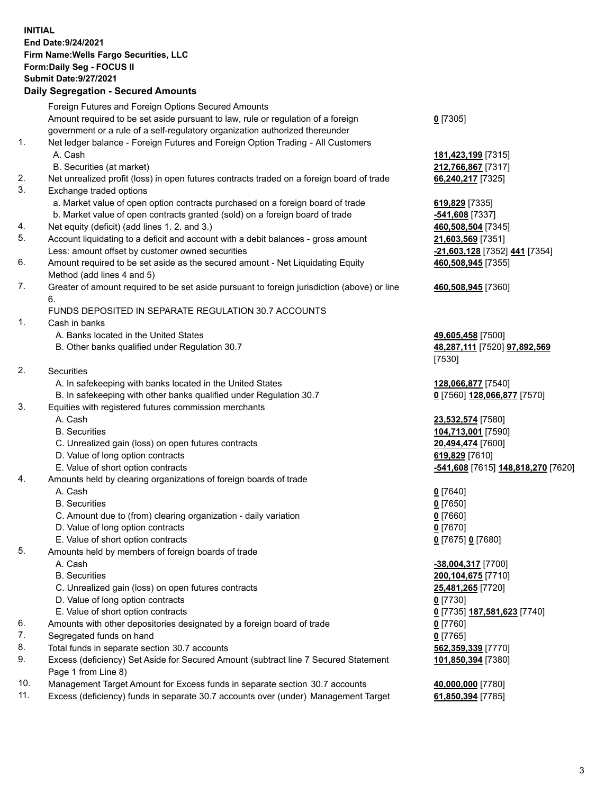**INITIAL End Date:9/24/2021 Firm Name:Wells Fargo Securities, LLC Form:Daily Seg - FOCUS II Submit Date:9/27/2021**

## **Daily Segregation - Secured Amounts**

|          | Foreign Futures and Foreign Options Secured Amounts                                                        |                                    |
|----------|------------------------------------------------------------------------------------------------------------|------------------------------------|
|          | Amount required to be set aside pursuant to law, rule or regulation of a foreign                           | $0$ [7305]                         |
|          | government or a rule of a self-regulatory organization authorized thereunder                               |                                    |
| 1.       | Net ledger balance - Foreign Futures and Foreign Option Trading - All Customers                            |                                    |
|          | A. Cash                                                                                                    | 181,423,199 [7315]                 |
|          | B. Securities (at market)                                                                                  | 212,766,867 [7317]                 |
| 2.       | Net unrealized profit (loss) in open futures contracts traded on a foreign board of trade                  | 66,240,217 [7325]                  |
| 3.       | Exchange traded options                                                                                    |                                    |
|          | a. Market value of open option contracts purchased on a foreign board of trade                             | 619,829 [7335]                     |
|          | b. Market value of open contracts granted (sold) on a foreign board of trade                               | -541,608 [7337]                    |
| 4.       | Net equity (deficit) (add lines 1. 2. and 3.)                                                              | 460,508,504 [7345]                 |
| 5.       | Account liquidating to a deficit and account with a debit balances - gross amount                          | 21,603,569 [7351]                  |
|          | Less: amount offset by customer owned securities                                                           | -21,603,128 [7352] 441 [7354]      |
| 6.       | Amount required to be set aside as the secured amount - Net Liquidating Equity                             | 460,508,945 [7355]                 |
|          | Method (add lines 4 and 5)                                                                                 |                                    |
| 7.       | Greater of amount required to be set aside pursuant to foreign jurisdiction (above) or line                | 460,508,945 [7360]                 |
|          | 6.                                                                                                         |                                    |
|          | FUNDS DEPOSITED IN SEPARATE REGULATION 30.7 ACCOUNTS                                                       |                                    |
| 1.       | Cash in banks                                                                                              |                                    |
|          | A. Banks located in the United States                                                                      | 49,605,458 [7500]                  |
|          | B. Other banks qualified under Regulation 30.7                                                             | 48,287,111 [7520] 97,892,569       |
|          |                                                                                                            | [7530]                             |
| 2.       | Securities                                                                                                 |                                    |
|          | A. In safekeeping with banks located in the United States                                                  | 128,066,877 [7540]                 |
|          | B. In safekeeping with other banks qualified under Regulation 30.7                                         | 0 [7560] 128,066,877 [7570]        |
| 3.       | Equities with registered futures commission merchants                                                      |                                    |
|          | A. Cash                                                                                                    | 23,532,574 [7580]                  |
|          | <b>B.</b> Securities                                                                                       | 104,713,001 [7590]                 |
|          | C. Unrealized gain (loss) on open futures contracts                                                        | 20,494,474 [7600]                  |
|          | D. Value of long option contracts                                                                          | 619,829 [7610]                     |
|          | E. Value of short option contracts                                                                         | -541,608 [7615] 148,818,270 [7620] |
| 4.       | Amounts held by clearing organizations of foreign boards of trade                                          |                                    |
|          | A. Cash                                                                                                    | $0$ [7640]                         |
|          | <b>B.</b> Securities                                                                                       | $0$ [7650]                         |
|          | C. Amount due to (from) clearing organization - daily variation                                            | $0$ [7660]                         |
|          | D. Value of long option contracts                                                                          | $0$ [7670]                         |
|          | E. Value of short option contracts                                                                         | 0 [7675] 0 [7680]                  |
| 5.       | Amounts held by members of foreign boards of trade                                                         |                                    |
|          | A. Cash                                                                                                    | -38,004,317 [7700]                 |
|          | <b>B.</b> Securities                                                                                       | 200,104,675 [7710]                 |
|          | C. Unrealized gain (loss) on open futures contracts                                                        | 25,481,265 [7720]                  |
|          | D. Value of long option contracts                                                                          | $0$ [7730]                         |
|          | E. Value of short option contracts                                                                         | 0 [7735] 187,581,623 [7740]        |
| 6.       | Amounts with other depositories designated by a foreign board of trade                                     | $0$ [7760]                         |
| 7.       | Segregated funds on hand                                                                                   | $0$ [7765]                         |
| 8.<br>9. | Total funds in separate section 30.7 accounts                                                              | 562,359,339 [7770]                 |
|          | Excess (deficiency) Set Aside for Secured Amount (subtract line 7 Secured Statement<br>Page 1 from Line 8) | 101,850,394 [7380]                 |

- 10. Management Target Amount for Excess funds in separate section 30.7 accounts **40,000,000** [7780]
- 11. Excess (deficiency) funds in separate 30.7 accounts over (under) Management Target **61,850,394** [7785]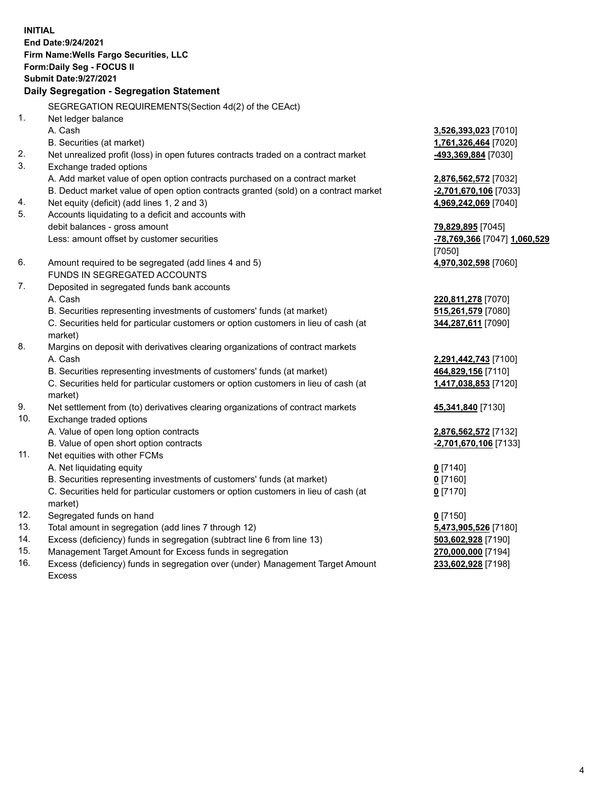**INITIAL End Date:9/24/2021 Firm Name:Wells Fargo Securities, LLC Form:Daily Seg - FOCUS II Submit Date:9/27/2021**

## **Daily Segregation - Segregation Statement**

SEGREGATION REQUIREMENTS(Section 4d(2) of the CEAct)

|     | SEGREGATION REQUIREMENTS(Section 40(2) OF the CEACH                                 |                              |
|-----|-------------------------------------------------------------------------------------|------------------------------|
| 1.  | Net ledger balance                                                                  |                              |
|     | A. Cash                                                                             | 3,526,393,023 [7010]         |
|     | B. Securities (at market)                                                           | 1,761,326,464 [7020]         |
| 2.  | Net unrealized profit (loss) in open futures contracts traded on a contract market  | 493,369,884 [7030]           |
| 3.  | Exchange traded options                                                             |                              |
|     | A. Add market value of open option contracts purchased on a contract market         | 2,876,562,572 [7032]         |
|     | B. Deduct market value of open option contracts granted (sold) on a contract market | -2,701,670,106 [7033]        |
| 4.  | Net equity (deficit) (add lines 1, 2 and 3)                                         | 4,969,242,069 [7040]         |
| 5.  | Accounts liquidating to a deficit and accounts with                                 |                              |
|     | debit balances - gross amount                                                       | 79,829,895 [7045]            |
|     | Less: amount offset by customer securities                                          | -78,769,366 [7047] 1,060,529 |
|     |                                                                                     | [7050]                       |
| 6.  | Amount required to be segregated (add lines 4 and 5)                                | 4,970,302,598 [7060]         |
|     | FUNDS IN SEGREGATED ACCOUNTS                                                        |                              |
| 7.  | Deposited in segregated funds bank accounts                                         |                              |
|     | A. Cash                                                                             | 220,811,278 [7070]           |
|     | B. Securities representing investments of customers' funds (at market)              | 515,261,579 [7080]           |
|     | C. Securities held for particular customers or option customers in lieu of cash (at | 344,287,611 [7090]           |
|     | market)                                                                             |                              |
| 8.  | Margins on deposit with derivatives clearing organizations of contract markets      |                              |
|     | A. Cash                                                                             | 2,291,442,743 [7100]         |
|     | B. Securities representing investments of customers' funds (at market)              | 464,829,156 [7110]           |
|     | C. Securities held for particular customers or option customers in lieu of cash (at | 1,417,038,853 [7120]         |
|     | market)                                                                             |                              |
| 9.  | Net settlement from (to) derivatives clearing organizations of contract markets     | 45,341,840 [7130]            |
| 10. | Exchange traded options                                                             |                              |
|     | A. Value of open long option contracts                                              | 2,876,562,572 [7132]         |
|     | B. Value of open short option contracts                                             | -2,701,670,106 [7133]        |
| 11. | Net equities with other FCMs                                                        |                              |
|     | A. Net liquidating equity                                                           | $0$ [7140]                   |
|     | B. Securities representing investments of customers' funds (at market)              | $0$ [7160]                   |
|     | C. Securities held for particular customers or option customers in lieu of cash (at | $0$ [7170]                   |
|     | market)                                                                             |                              |
| 12. | Segregated funds on hand                                                            | $0$ [7150]                   |
| 13. | Total amount in segregation (add lines 7 through 12)                                | 5,473,905,526 [7180]         |
| 14. | Excess (deficiency) funds in segregation (subtract line 6 from line 13)             | 503,602,928 [7190]           |
| 15. | Management Target Amount for Excess funds in segregation                            | 270,000,000 [7194]           |
| 16. | Excess (deficiency) funds in segregation over (under) Management Target Amount      | 233,602,928 [7198]           |
|     | <b>Excess</b>                                                                       |                              |